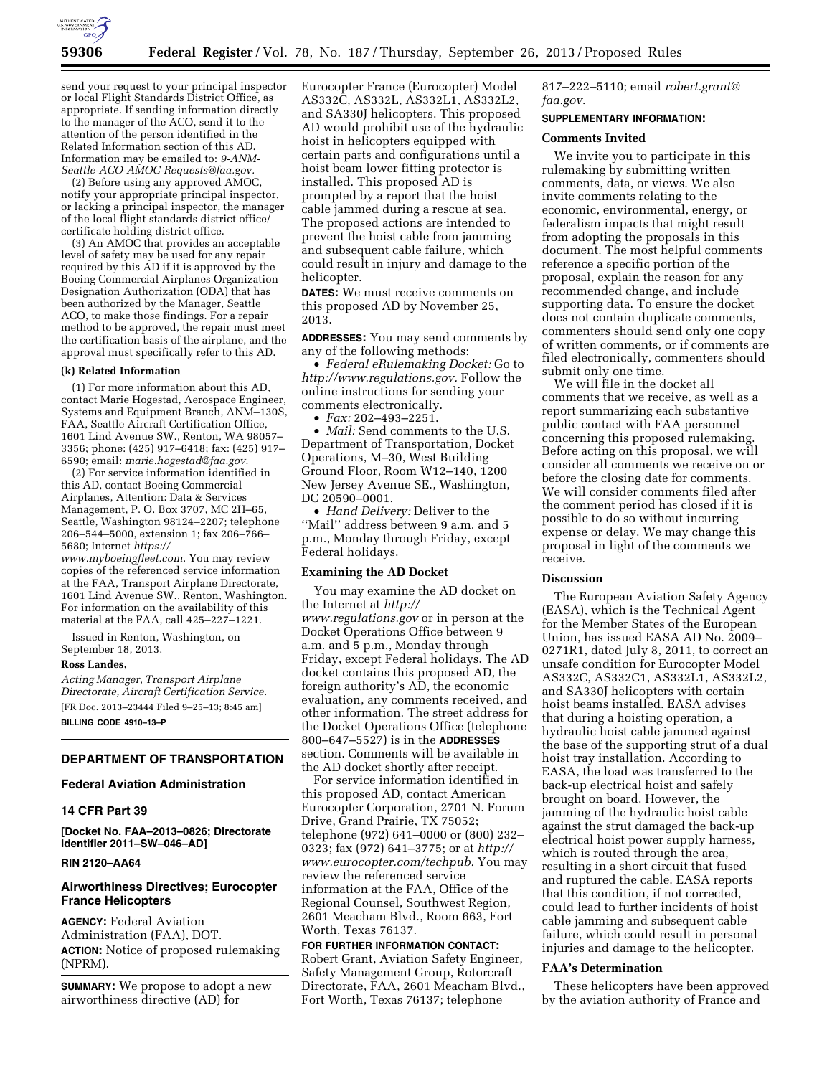

send your request to your principal inspector or local Flight Standards District Office, as appropriate. If sending information directly to the manager of the ACO, send it to the attention of the person identified in the Related Information section of this AD. Information may be emailed to: *[9-ANM-](mailto:9-ANM-Seattle-ACO-AMOC-Requests@faa.gov)[Seattle-ACO-AMOC-Requests@faa.gov.](mailto:9-ANM-Seattle-ACO-AMOC-Requests@faa.gov)* 

(2) Before using any approved AMOC, notify your appropriate principal inspector, or lacking a principal inspector, the manager of the local flight standards district office/ certificate holding district office.

(3) An AMOC that provides an acceptable level of safety may be used for any repair required by this AD if it is approved by the Boeing Commercial Airplanes Organization Designation Authorization (ODA) that has been authorized by the Manager, Seattle ACO, to make those findings. For a repair method to be approved, the repair must meet the certification basis of the airplane, and the approval must specifically refer to this AD.

#### **(k) Related Information**

(1) For more information about this AD, contact Marie Hogestad, Aerospace Engineer, Systems and Equipment Branch, ANM–130S, FAA, Seattle Aircraft Certification Office, 1601 Lind Avenue SW., Renton, WA 98057– 3356; phone: (425) 917–6418; fax: (425) 917– 6590; email: *[marie.hogestad@faa.gov.](mailto:marie.hogestad@faa.gov)* 

(2) For service information identified in this AD, contact Boeing Commercial Airplanes, Attention: Data & Services Management, P. O. Box 3707, MC 2H–65, Seattle, Washington 98124–2207; telephone 206–544–5000, extension 1; fax 206–766– 5680; Internet *[https://](https://www.myboeingfleet.com)*

*[www.myboeingfleet.com.](https://www.myboeingfleet.com)* You may review copies of the referenced service information at the FAA, Transport Airplane Directorate, 1601 Lind Avenue SW., Renton, Washington. For information on the availability of this material at the FAA, call 425–227–1221.

Issued in Renton, Washington, on September 18, 2013.

## **Ross Landes,**

*Acting Manager, Transport Airplane Directorate, Aircraft Certification Service.*  [FR Doc. 2013–23444 Filed 9–25–13; 8:45 am] **BILLING CODE 4910–13–P** 

## **DEPARTMENT OF TRANSPORTATION**

## **Federal Aviation Administration**

## **14 CFR Part 39**

**[Docket No. FAA–2013–0826; Directorate Identifier 2011–SW–046–AD]** 

## **RIN 2120–AA64**

## **Airworthiness Directives; Eurocopter France Helicopters**

**AGENCY:** Federal Aviation Administration (FAA), DOT. **ACTION:** Notice of proposed rulemaking (NPRM).

**SUMMARY:** We propose to adopt a new airworthiness directive (AD) for

Eurocopter France (Eurocopter) Model AS332C, AS332L, AS332L1, AS332L2, and SA330J helicopters. This proposed AD would prohibit use of the hydraulic hoist in helicopters equipped with certain parts and configurations until a hoist beam lower fitting protector is installed. This proposed AD is prompted by a report that the hoist cable jammed during a rescue at sea. The proposed actions are intended to prevent the hoist cable from jamming and subsequent cable failure, which could result in injury and damage to the helicopter.

**DATES:** We must receive comments on this proposed AD by November 25, 2013.

**ADDRESSES:** You may send comments by any of the following methods:

• *Federal eRulemaking Docket:* Go to *[http://www.regulations.gov.](http://www.regulations.gov)* Follow the online instructions for sending your comments electronically.

• *Fax:* 202–493–2251.

• *Mail:* Send comments to the U.S. Department of Transportation, Docket Operations, M–30, West Building Ground Floor, Room W12–140, 1200 New Jersey Avenue SE., Washington, DC 20590–0001.

• *Hand Delivery:* Deliver to the ''Mail'' address between 9 a.m. and 5 p.m., Monday through Friday, except Federal holidays.

## **Examining the AD Docket**

You may examine the AD docket on the Internet at *[http://](http://www.regulations.gov) [www.regulations.gov](http://www.regulations.gov)* or in person at the Docket Operations Office between 9 a.m. and 5 p.m., Monday through Friday, except Federal holidays. The AD docket contains this proposed AD, the foreign authority's AD, the economic evaluation, any comments received, and other information. The street address for the Docket Operations Office (telephone 800–647–5527) is in the **ADDRESSES** section. Comments will be available in the AD docket shortly after receipt.

For service information identified in this proposed AD, contact American Eurocopter Corporation, 2701 N. Forum Drive, Grand Prairie, TX 75052; telephone (972) 641–0000 or (800) 232– 0323; fax (972) 641–3775; or at *[http://](http://www.eurocopter.com/techpub) [www.eurocopter.com/techpub.](http://www.eurocopter.com/techpub)* You may review the referenced service information at the FAA, Office of the Regional Counsel, Southwest Region, 2601 Meacham Blvd., Room 663, Fort Worth, Texas 76137.

### **FOR FURTHER INFORMATION CONTACT:**

Robert Grant, Aviation Safety Engineer, Safety Management Group, Rotorcraft Directorate, FAA, 2601 Meacham Blvd., Fort Worth, Texas 76137; telephone

817–222–5110; email *[robert.grant@](mailto:robert.grant@faa.gov) [faa.gov.](mailto:robert.grant@faa.gov)* 

## **SUPPLEMENTARY INFORMATION:**

### **Comments Invited**

We invite you to participate in this rulemaking by submitting written comments, data, or views. We also invite comments relating to the economic, environmental, energy, or federalism impacts that might result from adopting the proposals in this document. The most helpful comments reference a specific portion of the proposal, explain the reason for any recommended change, and include supporting data. To ensure the docket does not contain duplicate comments, commenters should send only one copy of written comments, or if comments are filed electronically, commenters should submit only one time.

We will file in the docket all comments that we receive, as well as a report summarizing each substantive public contact with FAA personnel concerning this proposed rulemaking. Before acting on this proposal, we will consider all comments we receive on or before the closing date for comments. We will consider comments filed after the comment period has closed if it is possible to do so without incurring expense or delay. We may change this proposal in light of the comments we receive.

## **Discussion**

The European Aviation Safety Agency (EASA), which is the Technical Agent for the Member States of the European Union, has issued EASA AD No. 2009– 0271R1, dated July 8, 2011, to correct an unsafe condition for Eurocopter Model AS332C, AS332C1, AS332L1, AS332L2, and SA330J helicopters with certain hoist beams installed. EASA advises that during a hoisting operation, a hydraulic hoist cable jammed against the base of the supporting strut of a dual hoist tray installation. According to EASA, the load was transferred to the back-up electrical hoist and safely brought on board. However, the jamming of the hydraulic hoist cable against the strut damaged the back-up electrical hoist power supply harness, which is routed through the area, resulting in a short circuit that fused and ruptured the cable. EASA reports that this condition, if not corrected, could lead to further incidents of hoist cable jamming and subsequent cable failure, which could result in personal injuries and damage to the helicopter.

## **FAA's Determination**

These helicopters have been approved by the aviation authority of France and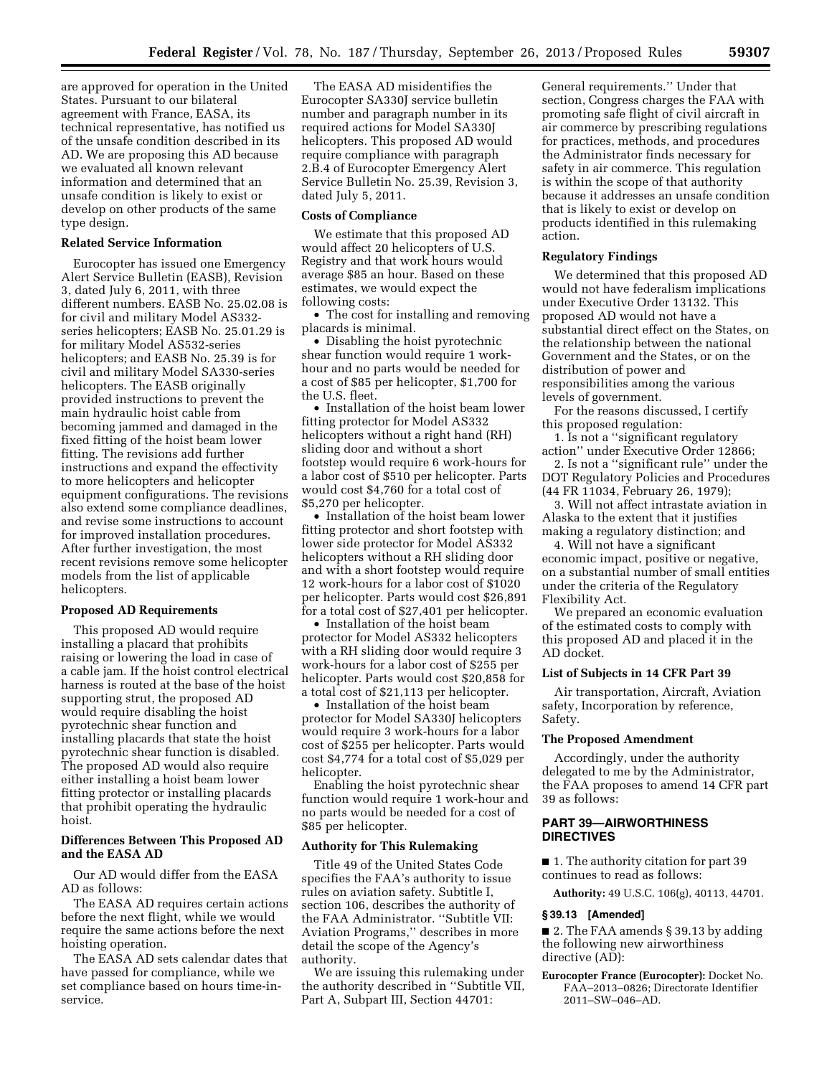are approved for operation in the United States. Pursuant to our bilateral agreement with France, EASA, its technical representative, has notified us of the unsafe condition described in its AD. We are proposing this AD because we evaluated all known relevant information and determined that an unsafe condition is likely to exist or develop on other products of the same type design.

## **Related Service Information**

Eurocopter has issued one Emergency Alert Service Bulletin (EASB), Revision 3, dated July 6, 2011, with three different numbers. EASB No. 25.02.08 is for civil and military Model AS332 series helicopters; EASB No. 25.01.29 is for military Model AS532-series helicopters; and EASB No. 25.39 is for civil and military Model SA330-series helicopters. The EASB originally provided instructions to prevent the main hydraulic hoist cable from becoming jammed and damaged in the fixed fitting of the hoist beam lower fitting. The revisions add further instructions and expand the effectivity to more helicopters and helicopter equipment configurations. The revisions also extend some compliance deadlines, and revise some instructions to account for improved installation procedures. After further investigation, the most recent revisions remove some helicopter models from the list of applicable helicopters.

## **Proposed AD Requirements**

This proposed AD would require installing a placard that prohibits raising or lowering the load in case of a cable jam. If the hoist control electrical harness is routed at the base of the hoist supporting strut, the proposed AD would require disabling the hoist pyrotechnic shear function and installing placards that state the hoist pyrotechnic shear function is disabled. The proposed AD would also require either installing a hoist beam lower fitting protector or installing placards that prohibit operating the hydraulic hoist.

## **Differences Between This Proposed AD and the EASA AD**

Our AD would differ from the EASA AD as follows:

The EASA AD requires certain actions before the next flight, while we would require the same actions before the next hoisting operation.

The EASA AD sets calendar dates that have passed for compliance, while we set compliance based on hours time-inservice.

The EASA AD misidentifies the Eurocopter SA330J service bulletin number and paragraph number in its required actions for Model SA330J helicopters. This proposed AD would require compliance with paragraph 2.B.4 of Eurocopter Emergency Alert Service Bulletin No. 25.39, Revision 3, dated July 5, 2011.

## **Costs of Compliance**

We estimate that this proposed AD would affect 20 helicopters of U.S. Registry and that work hours would average \$85 an hour. Based on these estimates, we would expect the following costs:

• The cost for installing and removing placards is minimal.

• Disabling the hoist pyrotechnic shear function would require 1 workhour and no parts would be needed for a cost of \$85 per helicopter, \$1,700 for the U.S. fleet.

• Installation of the hoist beam lower fitting protector for Model AS332 helicopters without a right hand (RH) sliding door and without a short footstep would require 6 work-hours for a labor cost of \$510 per helicopter. Parts would cost \$4,760 for a total cost of \$5,270 per helicopter.

• Installation of the hoist beam lower fitting protector and short footstep with lower side protector for Model AS332 helicopters without a RH sliding door and with a short footstep would require 12 work-hours for a labor cost of \$1020 per helicopter. Parts would cost \$26,891 for a total cost of \$27,401 per helicopter.

• Installation of the hoist beam protector for Model AS332 helicopters with a RH sliding door would require 3 work-hours for a labor cost of \$255 per helicopter. Parts would cost \$20,858 for a total cost of \$21,113 per helicopter.

• Installation of the hoist beam protector for Model SA330J helicopters would require 3 work-hours for a labor cost of \$255 per helicopter. Parts would cost \$4,774 for a total cost of \$5,029 per helicopter.

Enabling the hoist pyrotechnic shear function would require 1 work-hour and no parts would be needed for a cost of \$85 per helicopter.

### **Authority for This Rulemaking**

Title 49 of the United States Code specifies the FAA's authority to issue rules on aviation safety. Subtitle I, section 106, describes the authority of the FAA Administrator. ''Subtitle VII: Aviation Programs,'' describes in more detail the scope of the Agency's authority.

We are issuing this rulemaking under the authority described in ''Subtitle VII, Part A, Subpart III, Section 44701:

General requirements.'' Under that section, Congress charges the FAA with promoting safe flight of civil aircraft in air commerce by prescribing regulations for practices, methods, and procedures the Administrator finds necessary for safety in air commerce. This regulation is within the scope of that authority because it addresses an unsafe condition that is likely to exist or develop on products identified in this rulemaking action.

#### **Regulatory Findings**

We determined that this proposed AD would not have federalism implications under Executive Order 13132. This proposed AD would not have a substantial direct effect on the States, on the relationship between the national Government and the States, or on the distribution of power and responsibilities among the various levels of government.

For the reasons discussed, I certify this proposed regulation:

1. Is not a ''significant regulatory action'' under Executive Order 12866;

2. Is not a ''significant rule'' under the DOT Regulatory Policies and Procedures (44 FR 11034, February 26, 1979);

3. Will not affect intrastate aviation in Alaska to the extent that it justifies making a regulatory distinction; and

4. Will not have a significant economic impact, positive or negative, on a substantial number of small entities under the criteria of the Regulatory Flexibility Act.

We prepared an economic evaluation of the estimated costs to comply with this proposed AD and placed it in the AD docket.

## **List of Subjects in 14 CFR Part 39**

Air transportation, Aircraft, Aviation safety, Incorporation by reference, Safety.

## **The Proposed Amendment**

Accordingly, under the authority delegated to me by the Administrator, the FAA proposes to amend 14 CFR part 39 as follows:

# **PART 39—AIRWORTHINESS DIRECTIVES**

■ 1. The authority citation for part 39 continues to read as follows:

**Authority:** 49 U.S.C. 106(g), 40113, 44701.

#### **§ 39.13 [Amended]**

■ 2. The FAA amends § 39.13 by adding the following new airworthiness directive (AD):

**Eurocopter France (Eurocopter):** Docket No. FAA–2013–0826; Directorate Identifier 2011–SW–046–AD.